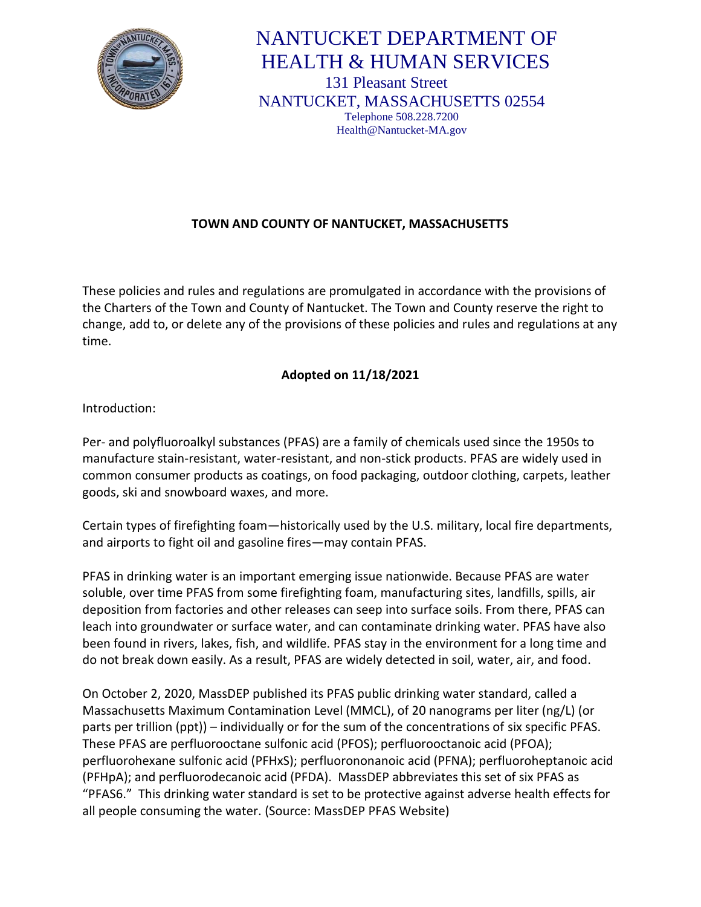

# NANTUCKET DEPARTMENT OF HEALTH & HUMAN SERVICES 131 Pleasant Street NANTUCKET, MASSACHUSETTS 02554 Telephone 508.228.7200 Health@Nantucket-MA.gov

## **TOWN AND COUNTY OF NANTUCKET, MASSACHUSETTS**

These policies and rules and regulations are promulgated in accordance with the provisions of the Charters of the Town and County of Nantucket. The Town and County reserve the right to change, add to, or delete any of the provisions of these policies and rules and regulations at any time.

## **Adopted on 11/18/2021**

Introduction:

Per- and polyfluoroalkyl substances (PFAS) are a family of chemicals used since the 1950s to manufacture stain-resistant, water-resistant, and non-stick products. PFAS are widely used in common consumer products as coatings, on food packaging, outdoor clothing, carpets, leather goods, ski and snowboard waxes, and more.

Certain types of firefighting foam—historically used by the U.S. military, local fire departments, and airports to fight oil and gasoline fires—may contain PFAS.

PFAS in drinking water is an important emerging issue nationwide. Because PFAS are water soluble, over time PFAS from some firefighting foam, manufacturing sites, landfills, spills, air deposition from factories and other releases can seep into surface soils. From there, PFAS can leach into groundwater or surface water, and can contaminate drinking water. PFAS have also been found in rivers, lakes, fish, and wildlife. PFAS stay in the environment for a long time and do not break down easily. As a result, PFAS are widely detected in soil, water, air, and food.

On October 2, 2020, MassDEP published its PFAS public drinking water standard, called a Massachusetts Maximum Contamination Level (MMCL), of 20 nanograms per liter (ng/L) (or parts per trillion (ppt)) – individually or for the sum of the concentrations of six specific PFAS. These PFAS are perfluorooctane sulfonic acid (PFOS); perfluorooctanoic acid (PFOA); perfluorohexane sulfonic acid (PFHxS); perfluorononanoic acid (PFNA); perfluoroheptanoic acid (PFHpA); and perfluorodecanoic acid (PFDA). MassDEP abbreviates this set of six PFAS as "PFAS6." This drinking water standard is set to be protective against adverse health effects for all people consuming the water. (Source: MassDEP PFAS Website)